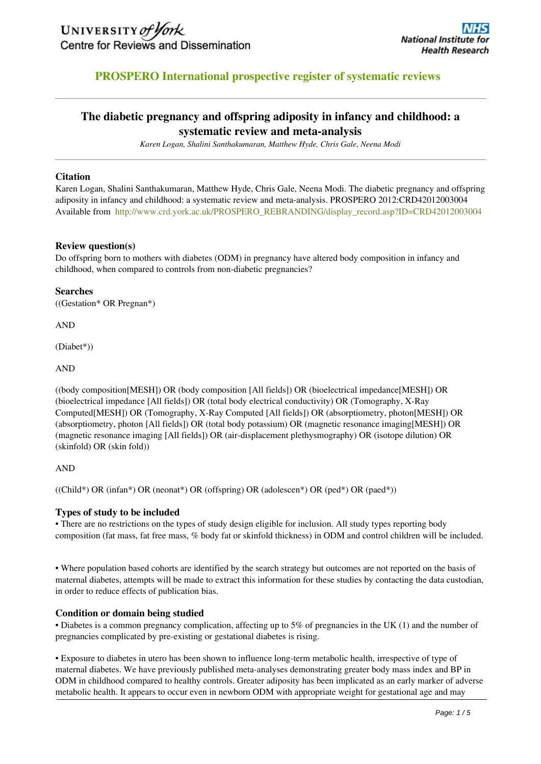

# **PROSPERO International prospective register of systematic reviews**

# **The diabetic pregnancy and offspring adiposity in infancy and childhood: a systematic review and meta-analysis**

*Karen Logan, Shalini Santhakumaran, Matthew Hyde, Chris Gale, Neena Modi*

#### **Citation**

Karen Logan, Shalini Santhakumaran, Matthew Hyde, Chris Gale, Neena Modi. The diabetic pregnancy and offspring adiposity in infancy and childhood: a systematic review and meta-analysis. PROSPERO 2012:CRD42012003004 Available from [http://www.crd.york.ac.uk/PROSPERO\\_REBRANDING/display\\_record.asp?ID=CRD42012003004](http://www.crd.york.ac.uk/PROSPERO/display_record.asp?ID=CRD42012003004)

#### **Review question(s)**

Do offspring born to mothers with diabetes (ODM) in pregnancy have altered body composition in infancy and childhood, when compared to controls from non-diabetic pregnancies?

#### **Searches**

((Gestation\* OR Pregnan\*)

AND

(Diabet\*))

AND

((body composition[MESH]) OR (body composition [All fields]) OR (bioelectrical impedance[MESH]) OR (bioelectrical impedance [All fields]) OR (total body electrical conductivity) OR (Tomography, X-Ray Computed[MESH]) OR (Tomography, X-Ray Computed [All fields]) OR (absorptiometry, photon[MESH]) OR (absorptiometry, photon [All fields]) OR (total body potassium) OR (magnetic resonance imaging[MESH]) OR (magnetic resonance imaging [All fields]) OR (air-displacement plethysmography) OR (isotope dilution) OR (skinfold) OR (skin fold))

#### AND

((Child\*) OR (infan\*) OR (neonat\*) OR (offspring) OR (adolescen\*) OR (ped\*) OR (paed\*))

#### **Types of study to be included**

• There are no restrictions on the types of study design eligible for inclusion. All study types reporting body composition (fat mass, fat free mass, % body fat or skinfold thickness) in ODM and control children will be included.

• Where population based cohorts are identified by the search strategy but outcomes are not reported on the basis of maternal diabetes, attempts will be made to extract this information for these studies by contacting the data custodian, in order to reduce effects of publication bias.

#### **Condition or domain being studied**

• Diabetes is a common pregnancy complication, affecting up to 5% of pregnancies in the UK (1) and the number of pregnancies complicated by pre-existing or gestational diabetes is rising.

• Exposure to diabetes in utero has been shown to influence long-term metabolic health, irrespective of type of maternal diabetes. We have previously published meta-analyses demonstrating greater body mass index and BP in ODM in childhood compared to healthy controls. Greater adiposity has been implicated as an early marker of adverse metabolic health. It appears to occur even in newborn ODM with appropriate weight for gestational age and may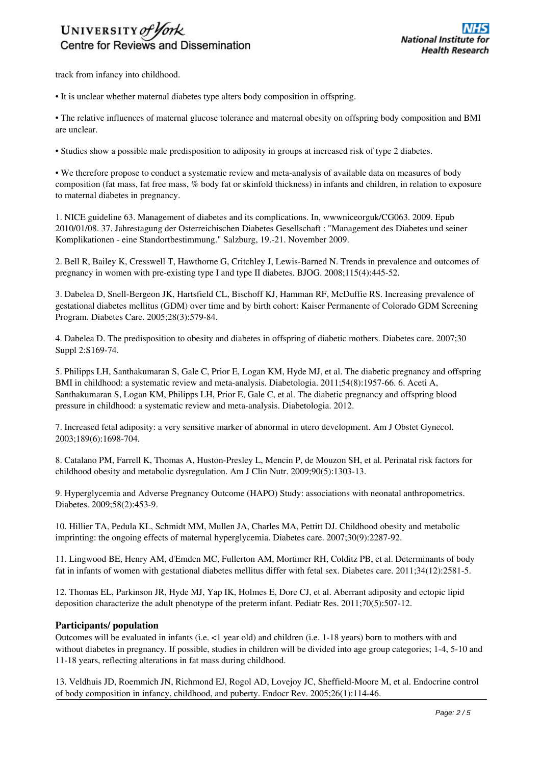# UNIVERSITY of York Centre for Reviews and Dissemination

track from infancy into childhood.

• It is unclear whether maternal diabetes type alters body composition in offspring.

• The relative influences of maternal glucose tolerance and maternal obesity on offspring body composition and BMI are unclear.

• Studies show a possible male predisposition to adiposity in groups at increased risk of type 2 diabetes.

• We therefore propose to conduct a systematic review and meta-analysis of available data on measures of body composition (fat mass, fat free mass, % body fat or skinfold thickness) in infants and children, in relation to exposure to maternal diabetes in pregnancy.

1. NICE guideline 63. Management of diabetes and its complications. In, wwwniceorguk/CG063. 2009. Epub 2010/01/08. 37. Jahrestagung der Osterreichischen Diabetes Gesellschaft : "Management des Diabetes und seiner Komplikationen - eine Standortbestimmung." Salzburg, 19.-21. November 2009.

2. Bell R, Bailey K, Cresswell T, Hawthorne G, Critchley J, Lewis-Barned N. Trends in prevalence and outcomes of pregnancy in women with pre-existing type I and type II diabetes. BJOG. 2008;115(4):445-52.

3. Dabelea D, Snell-Bergeon JK, Hartsfield CL, Bischoff KJ, Hamman RF, McDuffie RS. Increasing prevalence of gestational diabetes mellitus (GDM) over time and by birth cohort: Kaiser Permanente of Colorado GDM Screening Program. Diabetes Care. 2005;28(3):579-84.

4. Dabelea D. The predisposition to obesity and diabetes in offspring of diabetic mothers. Diabetes care. 2007;30 Suppl 2:S169-74.

5. Philipps LH, Santhakumaran S, Gale C, Prior E, Logan KM, Hyde MJ, et al. The diabetic pregnancy and offspring BMI in childhood: a systematic review and meta-analysis. Diabetologia. 2011;54(8):1957-66. 6. Aceti A, Santhakumaran S, Logan KM, Philipps LH, Prior E, Gale C, et al. The diabetic pregnancy and offspring blood pressure in childhood: a systematic review and meta-analysis. Diabetologia. 2012.

7. Increased fetal adiposity: a very sensitive marker of abnormal in utero development. Am J Obstet Gynecol. 2003;189(6):1698-704.

8. Catalano PM, Farrell K, Thomas A, Huston-Presley L, Mencin P, de Mouzon SH, et al. Perinatal risk factors for childhood obesity and metabolic dysregulation. Am J Clin Nutr. 2009;90(5):1303-13.

9. Hyperglycemia and Adverse Pregnancy Outcome (HAPO) Study: associations with neonatal anthropometrics. Diabetes. 2009;58(2):453-9.

10. Hillier TA, Pedula KL, Schmidt MM, Mullen JA, Charles MA, Pettitt DJ. Childhood obesity and metabolic imprinting: the ongoing effects of maternal hyperglycemia. Diabetes care. 2007;30(9):2287-92.

11. Lingwood BE, Henry AM, d'Emden MC, Fullerton AM, Mortimer RH, Colditz PB, et al. Determinants of body fat in infants of women with gestational diabetes mellitus differ with fetal sex. Diabetes care. 2011;34(12):2581-5.

12. Thomas EL, Parkinson JR, Hyde MJ, Yap IK, Holmes E, Dore CJ, et al. Aberrant adiposity and ectopic lipid deposition characterize the adult phenotype of the preterm infant. Pediatr Res. 2011;70(5):507-12.

## **Participants/ population**

Outcomes will be evaluated in infants (i.e. <1 year old) and children (i.e. 1-18 years) born to mothers with and without diabetes in pregnancy. If possible, studies in children will be divided into age group categories; 1-4, 5-10 and 11-18 years, reflecting alterations in fat mass during childhood.

13. Veldhuis JD, Roemmich JN, Richmond EJ, Rogol AD, Lovejoy JC, Sheffield-Moore M, et al. Endocrine control of body composition in infancy, childhood, and puberty. Endocr Rev. 2005;26(1):114-46.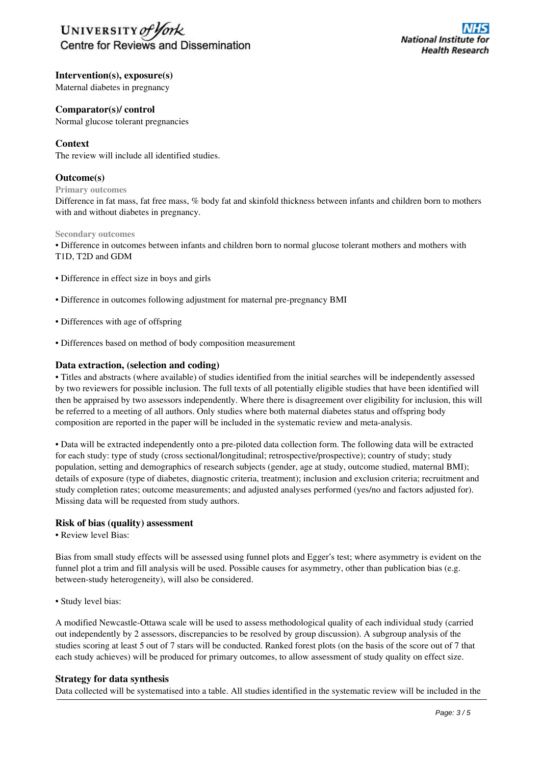

**Intervention(s), exposure(s)**

Maternal diabetes in pregnancy

#### **Comparator(s)/ control**

Normal glucose tolerant pregnancies

## **Context**

The review will include all identified studies.

#### **Outcome(s)**

**Primary outcomes**

Difference in fat mass, fat free mass, % body fat and skinfold thickness between infants and children born to mothers with and without diabetes in pregnancy.

#### **Secondary outcomes**

• Difference in outcomes between infants and children born to normal glucose tolerant mothers and mothers with T1D, T2D and GDM

- Difference in effect size in boys and girls
- Difference in outcomes following adjustment for maternal pre-pregnancy BMI
- Differences with age of offspring
- Differences based on method of body composition measurement

#### **Data extraction, (selection and coding)**

• Titles and abstracts (where available) of studies identified from the initial searches will be independently assessed by two reviewers for possible inclusion. The full texts of all potentially eligible studies that have been identified will then be appraised by two assessors independently. Where there is disagreement over eligibility for inclusion, this will be referred to a meeting of all authors. Only studies where both maternal diabetes status and offspring body composition are reported in the paper will be included in the systematic review and meta-analysis.

• Data will be extracted independently onto a pre-piloted data collection form. The following data will be extracted for each study: type of study (cross sectional/longitudinal; retrospective/prospective); country of study; study population, setting and demographics of research subjects (gender, age at study, outcome studied, maternal BMI); details of exposure (type of diabetes, diagnostic criteria, treatment); inclusion and exclusion criteria; recruitment and study completion rates; outcome measurements; and adjusted analyses performed (yes/no and factors adjusted for). Missing data will be requested from study authors.

#### **Risk of bias (quality) assessment**

• Review level Bias:

Bias from small study effects will be assessed using funnel plots and Egger's test; where asymmetry is evident on the funnel plot a trim and fill analysis will be used. Possible causes for asymmetry, other than publication bias (e.g. between-study heterogeneity), will also be considered.

• Study level bias:

A modified Newcastle-Ottawa scale will be used to assess methodological quality of each individual study (carried out independently by 2 assessors, discrepancies to be resolved by group discussion). A subgroup analysis of the studies scoring at least 5 out of 7 stars will be conducted. Ranked forest plots (on the basis of the score out of 7 that each study achieves) will be produced for primary outcomes, to allow assessment of study quality on effect size.

#### **Strategy for data synthesis**

Data collected will be systematised into a table. All studies identified in the systematic review will be included in the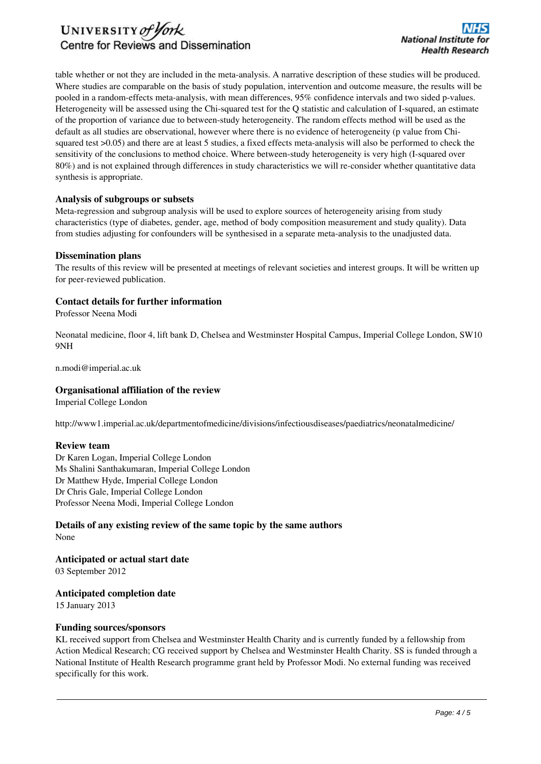

table whether or not they are included in the meta-analysis. A narrative description of these studies will be produced. Where studies are comparable on the basis of study population, intervention and outcome measure, the results will be pooled in a random-effects meta-analysis, with mean differences, 95% confidence intervals and two sided p-values. Heterogeneity will be assessed using the Chi-squared test for the Q statistic and calculation of I-squared, an estimate of the proportion of variance due to between-study heterogeneity. The random effects method will be used as the default as all studies are observational, however where there is no evidence of heterogeneity (p value from Chisquared test >0.05) and there are at least 5 studies, a fixed effects meta-analysis will also be performed to check the sensitivity of the conclusions to method choice. Where between-study heterogeneity is very high (I-squared over 80%) and is not explained through differences in study characteristics we will re-consider whether quantitative data synthesis is appropriate.

#### **Analysis of subgroups or subsets**

Meta-regression and subgroup analysis will be used to explore sources of heterogeneity arising from study characteristics (type of diabetes, gender, age, method of body composition measurement and study quality). Data from studies adjusting for confounders will be synthesised in a separate meta-analysis to the unadjusted data.

#### **Dissemination plans**

The results of this review will be presented at meetings of relevant societies and interest groups. It will be written up for peer-reviewed publication.

#### **Contact details for further information**

Professor Neena Modi

Neonatal medicine, floor 4, lift bank D, Chelsea and Westminster Hospital Campus, Imperial College London, SW10 9NH

n.modi@imperial.ac.uk

#### **Organisational affiliation of the review**

Imperial College London

http://www1.imperial.ac.uk/departmentofmedicine/divisions/infectiousdiseases/paediatrics/neonatalmedicine/

#### **Review team**

Dr Karen Logan, Imperial College London Ms Shalini Santhakumaran, Imperial College London Dr Matthew Hyde, Imperial College London Dr Chris Gale, Imperial College London Professor Neena Modi, Imperial College London

## **Details of any existing review of the same topic by the same authors** None

**Anticipated or actual start date** 03 September 2012

#### **Anticipated completion date**

15 January 2013

#### **Funding sources/sponsors**

KL received support from Chelsea and Westminster Health Charity and is currently funded by a fellowship from Action Medical Research; CG received support by Chelsea and Westminster Health Charity. SS is funded through a National Institute of Health Research programme grant held by Professor Modi. No external funding was received specifically for this work.